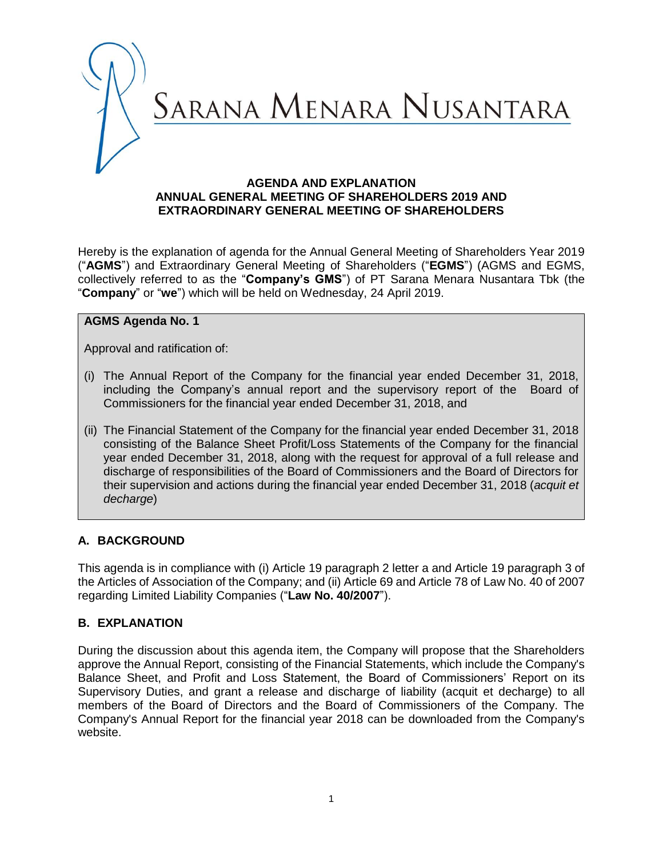

#### **AGENDA AND EXPLANATION ANNUAL GENERAL MEETING OF SHAREHOLDERS 2019 AND EXTRAORDINARY GENERAL MEETING OF SHAREHOLDERS**

Hereby is the explanation of agenda for the Annual General Meeting of Shareholders Year 2019 ("**AGMS**") and Extraordinary General Meeting of Shareholders ("**EGMS**") (AGMS and EGMS, collectively referred to as the "**Company's GMS**") of PT Sarana Menara Nusantara Tbk (the "**Company**" or "**we**") which will be held on Wednesday, 24 April 2019.

# **AGMS Agenda No. 1**

Approval and ratification of:

- (i) The Annual Report of the Company for the financial year ended December 31, 2018, including the Company's annual report and the supervisory report of the Board of Commissioners for the financial year ended December 31, 2018, and
- (ii) The Financial Statement of the Company for the financial year ended December 31, 2018 consisting of the Balance Sheet Profit/Loss Statements of the Company for the financial year ended December 31, 2018, along with the request for approval of a full release and discharge of responsibilities of the Board of Commissioners and the Board of Directors for their supervision and actions during the financial year ended December 31, 2018 (*acquit et decharge*)

# **A. BACKGROUND**

This agenda is in compliance with (i) Article 19 paragraph 2 letter a and Article 19 paragraph 3 of the Articles of Association of the Company; and (ii) Article 69 and Article 78 of Law No. 40 of 2007 regarding Limited Liability Companies ("**Law No. 40/2007**").

# **B. EXPLANATION**

During the discussion about this agenda item, the Company will propose that the Shareholders approve the Annual Report, consisting of the Financial Statements, which include the Company's Balance Sheet, and Profit and Loss Statement, the Board of Commissioners' Report on its Supervisory Duties, and grant a release and discharge of liability (acquit et decharge) to all members of the Board of Directors and the Board of Commissioners of the Company. The Company's Annual Report for the financial year 2018 can be downloaded from the Company's website.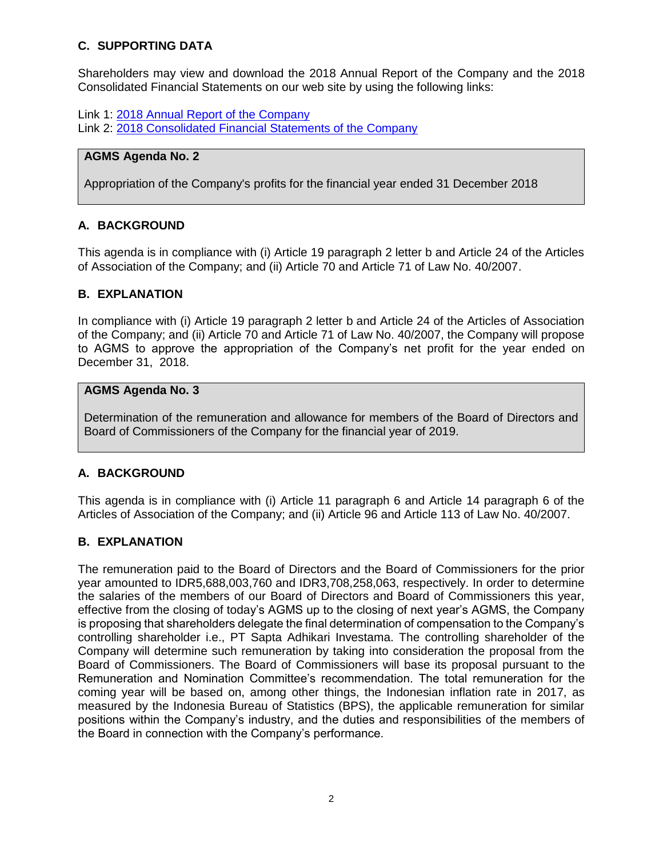# **C. SUPPORTING DATA**

Shareholders may view and download the 2018 Annual Report of the Company and the 2018 Consolidated Financial Statements on our web site by using the following links:

Link 1: 2018 [Annual Report of the](http://www.ptsmn.co.id/assets/files/SMN/rupssummon/Link_1_-_Laporan_Tahunan_TOWR_31_Desember_2018.pdf) Company Link 2: 2018 [Consolidated Financial Statements of the Company](http://www.ptsmn.co.id/assets/files/SMN/rupssummon/Link_2_-_Laporan_Keuangan_TOWR_31_Desember_2018.pdf)

# **AGMS Agenda No. 2**

Appropriation of the Company's profits for the financial year ended 31 December 2018

# **A. BACKGROUND**

This agenda is in compliance with (i) Article 19 paragraph 2 letter b and Article 24 of the Articles of Association of the Company; and (ii) Article 70 and Article 71 of Law No. 40/2007.

# **B. EXPLANATION**

In compliance with (i) Article 19 paragraph 2 letter b and Article 24 of the Articles of Association of the Company; and (ii) Article 70 and Article 71 of Law No. 40/2007, the Company will propose to AGMS to approve the appropriation of the Company's net profit for the year ended on December 31, 2018.

### **AGMS Agenda No. 3**

Determination of the remuneration and allowance for members of the Board of Directors and Board of Commissioners of the Company for the financial year of 2019.

# **A. BACKGROUND**

This agenda is in compliance with (i) Article 11 paragraph 6 and Article 14 paragraph 6 of the Articles of Association of the Company; and (ii) Article 96 and Article 113 of Law No. 40/2007.

# **B. EXPLANATION**

The remuneration paid to the Board of Directors and the Board of Commissioners for the prior year amounted to IDR5,688,003,760 and IDR3,708,258,063, respectively. In order to determine the salaries of the members of our Board of Directors and Board of Commissioners this year, effective from the closing of today's AGMS up to the closing of next year's AGMS, the Company is proposing that shareholders delegate the final determination of compensation to the Company's controlling shareholder i.e., PT Sapta Adhikari Investama. The controlling shareholder of the Company will determine such remuneration by taking into consideration the proposal from the Board of Commissioners. The Board of Commissioners will base its proposal pursuant to the Remuneration and Nomination Committee's recommendation. The total remuneration for the coming year will be based on, among other things, the Indonesian inflation rate in 2017, as measured by the Indonesia Bureau of Statistics (BPS), the applicable remuneration for similar positions within the Company's industry, and the duties and responsibilities of the members of the Board in connection with the Company's performance.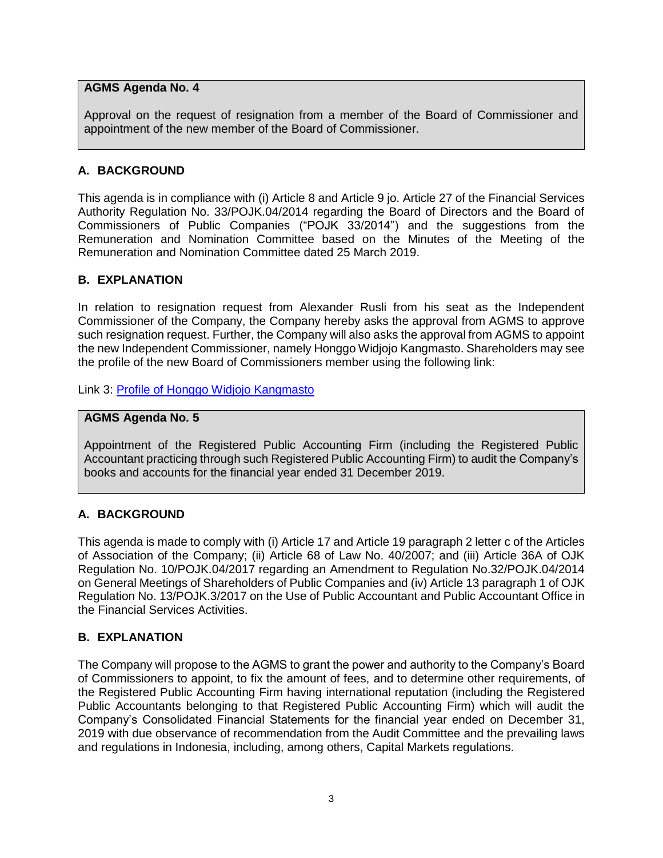## **AGMS Agenda No. 4**

Approval on the request of resignation from a member of the Board of Commissioner and appointment of the new member of the Board of Commissioner.

# **A. BACKGROUND**

This agenda is in compliance with (i) Article 8 and Article 9 jo. Article 27 of the Financial Services Authority Regulation No. 33/POJK.04/2014 regarding the Board of Directors and the Board of Commissioners of Public Companies ("POJK 33/2014") and the suggestions from the Remuneration and Nomination Committee based on the Minutes of the Meeting of the Remuneration and Nomination Committee dated 25 March 2019.

# **B. EXPLANATION**

In relation to resignation request from Alexander Rusli from his seat as the Independent Commissioner of the Company, the Company hereby asks the approval from AGMS to approve such resignation request. Further, the Company will also asks the approval from AGMS to appoint the new Independent Commissioner, namely Honggo Widjojo Kangmasto. Shareholders may see the profile of the new Board of Commissioners member using the following link:

Link 3: [Profile of Honggo Widjojo Kangmasto](http://www.ptsmn.co.id/assets/files/SMN/rupssummon/Link_3_-_Profil_Honggo_Widjojo_Kangmasto.pdf)

# **AGMS Agenda No. 5**

Appointment of the Registered Public Accounting Firm (including the Registered Public Accountant practicing through such Registered Public Accounting Firm) to audit the Company's books and accounts for the financial year ended 31 December 2019.

# **A. BACKGROUND**

This agenda is made to comply with (i) Article 17 and Article 19 paragraph 2 letter c of the Articles of Association of the Company; (ii) Article 68 of Law No. 40/2007; and (iii) Article 36A of OJK Regulation No. 10/POJK.04/2017 regarding an Amendment to Regulation No.32/POJK.04/2014 on General Meetings of Shareholders of Public Companies and (iv) Article 13 paragraph 1 of OJK Regulation No. 13/POJK.3/2017 on the Use of Public Accountant and Public Accountant Office in the Financial Services Activities.

# **B. EXPLANATION**

The Company will propose to the AGMS to grant the power and authority to the Company's Board of Commissioners to appoint, to fix the amount of fees, and to determine other requirements, of the Registered Public Accounting Firm having international reputation (including the Registered Public Accountants belonging to that Registered Public Accounting Firm) which will audit the Company's Consolidated Financial Statements for the financial year ended on December 31, 2019 with due observance of recommendation from the Audit Committee and the prevailing laws and regulations in Indonesia, including, among others, Capital Markets regulations.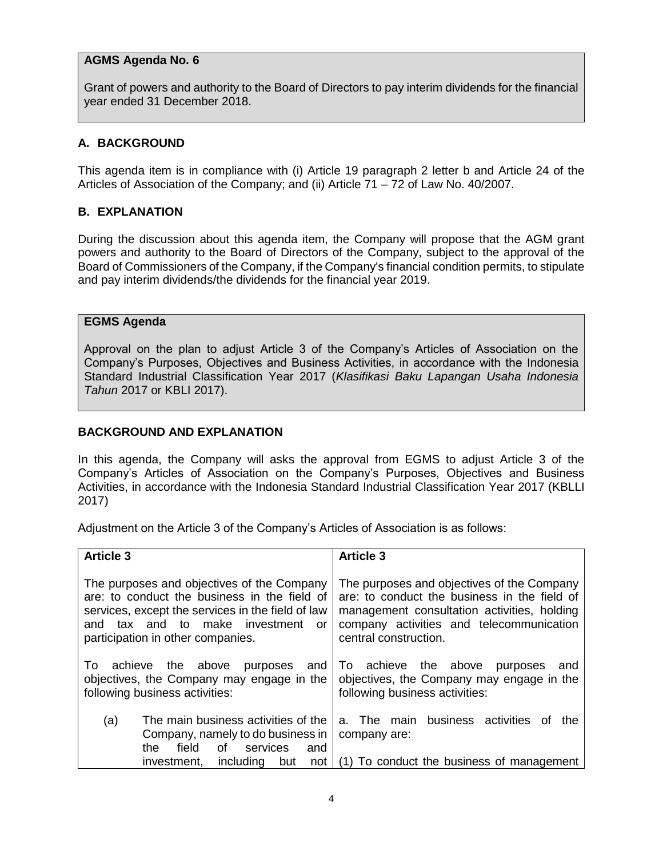### **AGMS Agenda No. 6**

Grant of powers and authority to the Board of Directors to pay interim dividends for the financial year ended 31 December 2018.

# **A. BACKGROUND**

This agenda item is in compliance with (i) Article 19 paragraph 2 letter b and Article 24 of the Articles of Association of the Company; and (ii) Article 71 – 72 of Law No. 40/2007.

### **B. EXPLANATION**

During the discussion about this agenda item, the Company will propose that the AGM grant powers and authority to the Board of Directors of the Company, subject to the approval of the Board of Commissioners of the Company, if the Company's financial condition permits, to stipulate and pay interim dividends/the dividends for the financial year 2019.

# **EGMS Agenda**

Approval on the plan to adjust Article 3 of the Company's Articles of Association on the Company's Purposes, Objectives and Business Activities, in accordance with the Indonesia Standard Industrial Classification Year 2017 (*Klasifikasi Baku Lapangan Usaha Indonesia Tahun* 2017 or KBLI 2017).

#### **BACKGROUND AND EXPLANATION**

In this agenda, the Company will asks the approval from EGMS to adjust Article 3 of the Company's Articles of Association on the Company's Purposes, Objectives and Business Activities, in accordance with the Indonesia Standard Industrial Classification Year 2017 (KBLLI 2017)

Adjustment on the Article 3 of the Company's Articles of Association is as follows:

| <b>Article 3</b>                                                                                                                                                                                                             | <b>Article 3</b>                                                                                                                                                                                               |
|------------------------------------------------------------------------------------------------------------------------------------------------------------------------------------------------------------------------------|----------------------------------------------------------------------------------------------------------------------------------------------------------------------------------------------------------------|
| The purposes and objectives of the Company<br>are: to conduct the business in the field of<br>services, except the services in the field of law<br>tax and to make investment or<br>and<br>participation in other companies. | The purposes and objectives of the Company<br>are: to conduct the business in the field of<br>management consultation activities, holding<br>company activities and telecommunication<br>central construction. |
| achieve the above<br>To<br>purposes and<br>objectives, the Company may engage in the<br>following business activities:                                                                                                       | To achieve the above<br>purposes<br>and<br>objectives, the Company may engage in the<br>following business activities:                                                                                         |
| (a)<br>The main business activities of the<br>Company, namely to do business in<br>of<br>services<br>field<br>the.<br>and                                                                                                    | a. The main business activities<br>the<br>of<br>company are:                                                                                                                                                   |
| including<br>investment,<br>but<br>not                                                                                                                                                                                       | (1) To conduct the business of management                                                                                                                                                                      |